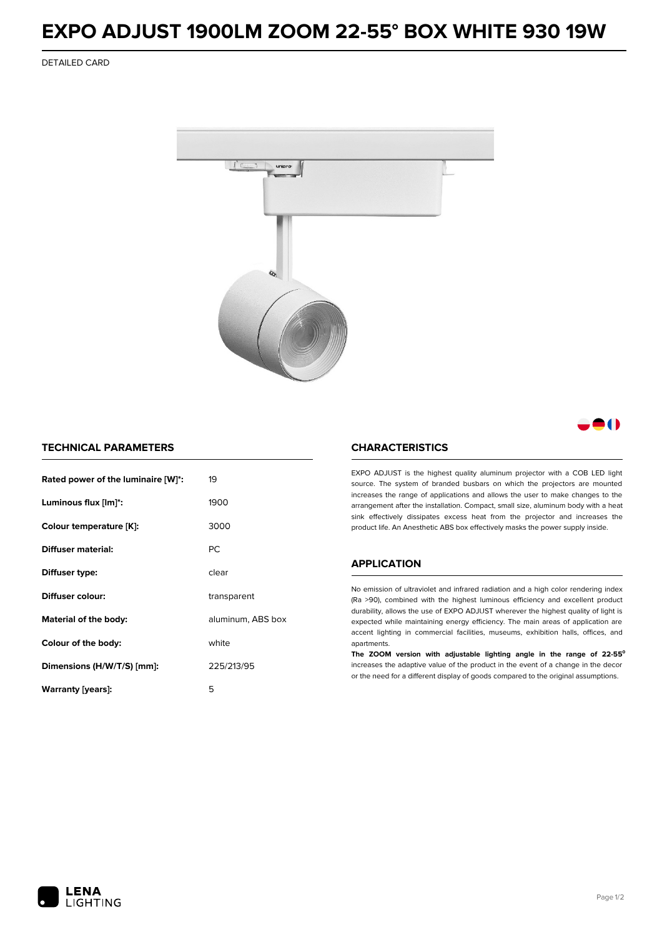## **EXPO ADJUST 1900LM ZOOM 22-55° BOX WHITE 930 19W**

DETAILED CARD



M

## **TECHNICAL PARAMETERS**

| Rated power of the luminaire [W]*: | 19                |  |
|------------------------------------|-------------------|--|
| Luminous flux [lm]*:               | 1900              |  |
| Colour temperature [K]:            | 3000              |  |
| Diffuser material:                 | <b>PC</b>         |  |
| Diffuser type:                     | clear             |  |
| Diffuser colour:                   | transparent       |  |
| Material of the body:              | aluminum, ABS box |  |
| Colour of the body:                | white             |  |
| Dimensions (H/W/T/S) [mm]:         | 225/213/95        |  |
| Warranty [years]:                  | 5                 |  |

### **CHARACTERISTICS**

EXPO ADJUST is the highest quality aluminum projector with a COB LED light source. The system of branded busbars on which the projectors are mounted increases the range of applications and allows the user to make changes to the arrangement after the installation. Compact, small size, aluminum body with a heat sink effectively dissipates excess heat from the projector and increases the product life. An Anesthetic ABS box effectively masks the power supply inside.

#### **APPLICATION**

No emission of ultraviolet and infrared radiation and a high color rendering index (Ra >90), combined with the highest luminous efficiency and excellent product durability, allows the use of EXPO ADJUST wherever the highest quality of light is expected while maintaining energy efficiency. The main areas of application are accent lighting in commercial facilities, museums, exhibition halls, offices, and apartments.

**The ZOOM version with adjustable lighting angle in the range of 22-55⁰** increases the adaptive value of the product in the event of a change in the decor or the need for a different display of goods compared to the original assumptions.